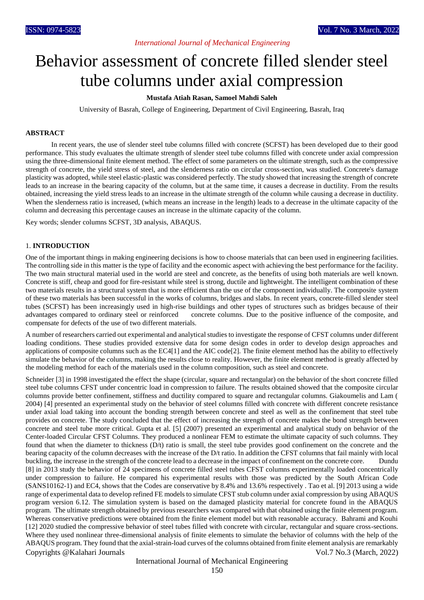# *International Journal of Mechanical Engineering*

# Behavior assessment of concrete filled slender steel tube columns under axial compression

## **Mustafa Atiah Rasan, Samoel Mahdi Saleh**

University of Basrah, College of Engineering, Department of Civil Engineering, Basrah, Iraq

# **ABSTRACT**

In recent years, the use of slender steel tube columns filled with concrete (SCFST) has been developed due to their good performance. This study evaluates the ultimate strength of slender steel tube columns filled with concrete under axial compression using the three-dimensional finite element method. The effect of some parameters on the ultimate strength, such as the compressive strength of concrete, the yield stress of steel, and the slenderness ratio on circular cross-section, was studied. Concrete's damage plasticity was adopted, while steel elastic-plastic was considered perfectly. The study showed that increasing the strength of concrete leads to an increase in the bearing capacity of the column, but at the same time, it causes a decrease in ductility. From the results obtained, increasing the yield stress leads to an increase in the ultimate strength of the column while causing a decrease in ductility. When the slenderness ratio is increased, (which means an increase in the length) leads to a decrease in the ultimate capacity of the column and decreasing this percentage causes an increase in the ultimate capacity of the column.

Key words; slender columns SCFST, 3D analysis, ABAQUS.

#### 1. **INTRODUCTION**

One of the important things in making engineering decisions is how to choose materials that can been used in engineering facilities. The controlling side in this matter is the type of facility and the economic aspect with achieving the best performance for the facility. The two main structural material used in the world are steel and concrete, as the benefits of using both materials are well known. Concrete is stiff, cheap and good for fire-resistant while steel is strong, ductile and lightweight. The intelligent combination of these two materials results in a structural system that is more efficient than the use of the component individually. The composite system of these two materials has been successful in the works of columns, bridges and slabs. In recent years, concrete-filled slender steel tubes (SCFST) has been increasingly used in high-rise buildings and other types of structures such as bridges because of their advantages compared to ordinary steel or reinforced concrete columns. Due to the positive influence of the composite, and compensate for defects of the use of two different materials.

A number of researchers carried out experimental and analytical studies to investigate the response of CFST columns under different loading conditions. These studies provided extensive data for some design codes in order to develop design approaches and applications of composite columns such as the EC4[1] and the AIC code[2]. The finite element method has the ability to effectively simulate the behavior of the columns, making the results close to reality. However, the finite element method is greatly affected by the modeling method for each of the materials used in the column composition, such as steel and concrete.

Copyrights @Kalahari Journals Vol.7 No.3 (March, 2022) Schneider [3] in 1998 investigated the effect the shape (circular, square and rectangular) on the behavior of the short concrete filled steel tube columns CFST under concentric load in compression to failure. The results obtained showed that the composite circular columns provide better confinement, stiffness and ductility compared to square and rectangular columns. Giakoumelis and Lam ( 2004) [4] presented an experimental study on the behavior of steel columns filled with concrete with different concrete resistance under axial load taking into account the bonding strength between concrete and steel as well as the confinement that steel tube provides on concrete. The study concluded that the effect of increasing the strength of concrete makes the bond strength between concrete and steel tube more critical. Gupta et al. [5] (2007) presented an experimental and analytical study on behavior of the Center-loaded Circular CFST Columns. They produced a nonlinear FEM to estimate the ultimate capacity of such columns. They found that when the diameter to thickness (D/t) ratio is small, the steel tube provides good confinement on the concrete and the bearing capacity of the column decreases with the increase of the D/t ratio. In addition the CFST columns that fail mainly with local buckling, the increase in the strength of the concrete lead to a decrease in the impact of confinement on the concrete core. Dundu [8] in 2013 study the behavior of 24 specimens of concrete filled steel tubes CFST columns experimentally loaded concentrically under compression to failure. He compared his experimental results with those was predicted by the South African Code (SANS10162-1) and EC4, shows that the Codes are conservative by 8.4% and 13.6% respectively . Tao et al. [9] 2013 using a wide range of experimental data to develop refined FE models to simulate CFST stub column under axial compression by using ABAQUS program version 6.12. The simulation system is based on the damaged plasticity material for concrete found in the ABAQUS program. The ultimate strength obtained by previous researchers was compared with that obtained using the finite element program. Whereas conservative predictions were obtained from the finite element model but with reasonable accuracy. Bahrami and Kouhi [12] 2020 studied the compressive behavior of steel tubes filled with concrete with circular, rectangular and square cross-sections. Where they used nonlinear three-dimensional analysis of finite elements to simulate the behavior of columns with the help of the ABAQUS program. They found that the axial-strain-load curves of the columns obtained from finite element analysis are remarkably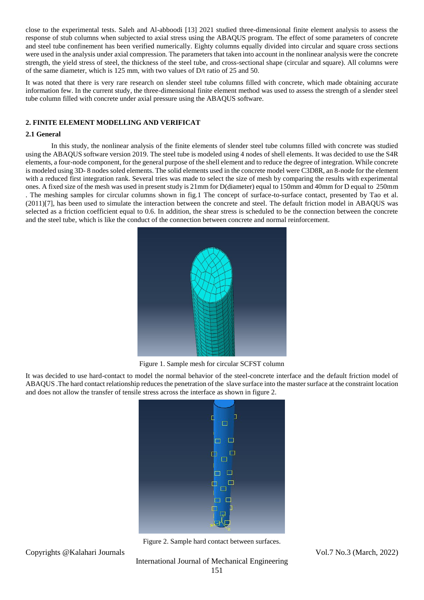close to the experimental tests. Saleh and Al-abboodi [13] 2021 studied three-dimensional finite element analysis to assess the response of stub columns when subjected to axial stress using the ABAQUS program. The effect of some parameters of concrete and steel tube confinement has been verified numerically. Eighty columns equally divided into circular and square cross sections were used in the analysis under axial compression. The parameters that taken into account in the nonlinear analysis were the concrete strength, the yield stress of steel, the thickness of the steel tube, and cross-sectional shape (circular and square). All columns were of the same diameter, which is 125 mm, with two values of D/t ratio of 25 and 50.

It was noted that there is very rare research on slender steel tube columns filled with concrete, which made obtaining accurate information few. In the current study, the three-dimensional finite element method was used to assess the strength of a slender steel tube column filled with concrete under axial pressure using the ABAQUS software.

# **2. FINITE ELEMENT MODELLING AND VERIFICAT**

#### **2.1 General**

In this study, the nonlinear analysis of the finite elements of slender steel tube columns filled with concrete was studied using the ABAQUS software version 2019. The steel tube is modeled using 4 nodes of shell elements. It was decided to use the S4R elements, a four-node component, for the general purpose of the shell element and to reduce the degree of integration. While concrete is modeled using 3D- 8 nodes soled elements. The solid elements used in the concrete model were C3D8R, an 8-node for the element with a reduced first integration rank. Several tries was made to select the size of mesh by comparing the results with experimental ones. A fixed size of the mesh was used in present study is 21mm for D(diameter) equal to 150mm and 40mm for D equal to 250mm . The meshing samples for circular columns shown in fig.1 The concept of surface-to-surface contact, presented by Tao et al. (2011)[7], has been used to simulate the interaction between the concrete and steel. The default friction model in ABAQUS was selected as a friction coefficient equal to 0.6. In addition, the shear stress is scheduled to be the connection between the concrete and the steel tube, which is like the conduct of the connection between concrete and normal reinforcement.



Figure 1. Sample mesh for circular SCFST column

It was decided to use hard-contact to model the normal behavior of the steel-concrete interface and the default friction model of ABAQUS .The hard contact relationship reduces the penetration of the slave surface into the master surface at the constraint location and does not allow the transfer of tensile stress across the interface as shown in figure 2.



Figure 2. Sample hard contact between surfaces.

Copyrights @Kalahari Journals Vol.7 No.3 (March, 2022)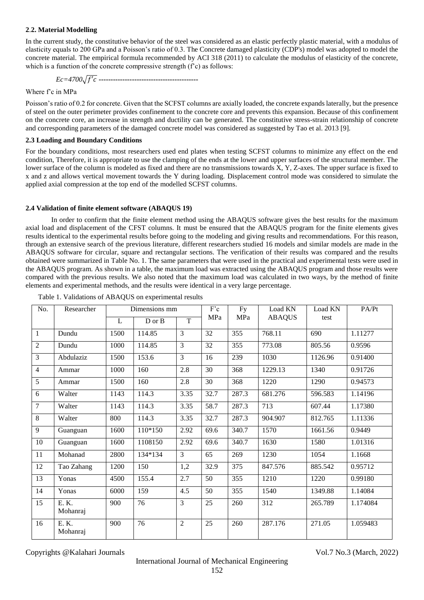# **2**.**2. Material Modelling**

In the current study, the constitutive behavior of the steel was considered as an elastic perfectly plastic material, with a modulus of elasticity equals to 200 GPa and a Poisson's ratio of 0.3. The Concrete damaged plasticity (CDP's) model was adopted to model the concrete material. The empirical formula recommended by ACI 318 (2011) to calculate the modulus of elasticity of the concrete, which is a function of the concrete compressive strength (f'c) as follows:

*Ec=4700*√′ **------------------------------------------**

Where f'c in MPa

Poisson's ratio of 0.2 for concrete. Given that the SCFST columns are axially loaded, the concrete expands laterally, but the presence of steel on the outer perimeter provides confinement to the concrete core and prevents this expansion. Because of this confinement on the concrete core, an increase in strength and ductility can be generated. The constitutive stress-strain relationship of concrete and corresponding parameters of the damaged concrete model was considered as suggested by Tao et al. 2013 [9].

## **2.3 Loading and Boundary Conditions**

For the boundary conditions, most researchers used end plates when testing SCFST columns to minimize any effect on the end condition, Therefore, it is appropriate to use the clamping of the ends at the lower and upper surfaces of the structural member. The lower surface of the column is modeled as fixed and there are no transmissions towards X, Y, Z-axes. The upper surface is fixed to x and z and allows vertical movement towards the Y during loading. Displacement control mode was considered to simulate the applied axial compression at the top end of the modelled SCFST columns.

## **2.4 Validation of finite element software (ABAQUS 19)**

In order to confirm that the finite element method using the ABAQUS software gives the best results for the maximum axial load and displacement of the CFST columns. It must be ensured that the ABAQUS program for the finite elements gives results identical to the experimental results before going to the modeling and giving results and recommendations. For this reason, through an extensive search of the previous literature, different researchers studied 16 models and similar models are made in the ABAQUS software for circular, square and rectangular sections. The verification of their results was compared and the results obtained were summarized in Table No. 1. The same parameters that were used in the practical and experimental tests were used in the ABAQUS program. As shown in a table, the maximum load was extracted using the ABAQUS program and those results were compared with the previous results. We also noted that the maximum load was calculated in two ways, by the method of finite elements and experimental methods, and the results were identical in a very large percentage.

| No.            | Researcher        | Dimensions mm |         |                | $F^{\prime}c$ | Fy    | Load KN       | Load KN | PA/Pt    |
|----------------|-------------------|---------------|---------|----------------|---------------|-------|---------------|---------|----------|
|                |                   | L             | D or B  | $\overline{T}$ | MPa           | MPa   | <b>ABAQUS</b> | test    |          |
| $\mathbf{1}$   | Dundu             | 1500          | 114.85  | 3              | 32            | 355   | 768.11        | 690     | 1.11277  |
| $\overline{2}$ | Dundu             | 1000          | 114.85  | 3              | 32            | 355   | 773.08        | 805.56  | 0.9596   |
| 3              | Abdulaziz         | 1500          | 153.6   | 3              | 16            | 239   | 1030          | 1126.96 | 0.91400  |
| 4              | Ammar             | 1000          | 160     | 2.8            | 30            | 368   | 1229.13       | 1340    | 0.91726  |
| 5              | Ammar             | 1500          | 160     | 2.8            | 30            | 368   | 1220          | 1290    | 0.94573  |
| 6              | Walter            | 1143          | 114.3   | 3.35           | 32.7          | 287.3 | 681.276       | 596.583 | 1.14196  |
| $\overline{7}$ | Walter            | 1143          | 114.3   | 3.35           | 58.7          | 287.3 | 713           | 607.44  | 1.17380  |
| $\overline{8}$ | Walter            | 800           | 114.3   | 3.35           | 32.7          | 287.3 | 904.907       | 812.765 | 1.11336  |
| 9              | Guanguan          | 1600          | 110*150 | 2.92           | 69.6          | 340.7 | 1570          | 1661.56 | 0.9449   |
| 10             | Guanguan          | 1600          | 1108150 | 2.92           | 69.6          | 340.7 | 1630          | 1580    | 1.01316  |
| 11             | Mohanad           | 2800          | 134*134 | 3              | 65            | 269   | 1230          | 1054    | 1.1668   |
| 12             | Tao Zahang        | 1200          | 150     | 1,2            | 32.9          | 375   | 847.576       | 885.542 | 0.95712  |
| 13             | Yonas             | 4500          | 155.4   | 2.7            | 50            | 355   | 1210          | 1220    | 0.99180  |
| 14             | Yonas             | 6000          | 159     | 4.5            | 50            | 355   | 1540          | 1349.88 | 1.14084  |
| 15             | E. K.<br>Mohanraj | 900           | 76      | 3              | 25            | 260   | 312           | 265.789 | 1.174084 |
| 16             | E. K.<br>Mohanraj | 900           | 76      | $\overline{2}$ | 25            | 260   | 287.176       | 271.05  | 1.059483 |

Table 1. Validations of ABAQUS on experimental results

Copyrights @Kalahari Journals Vol.7 No.3 (March, 2022)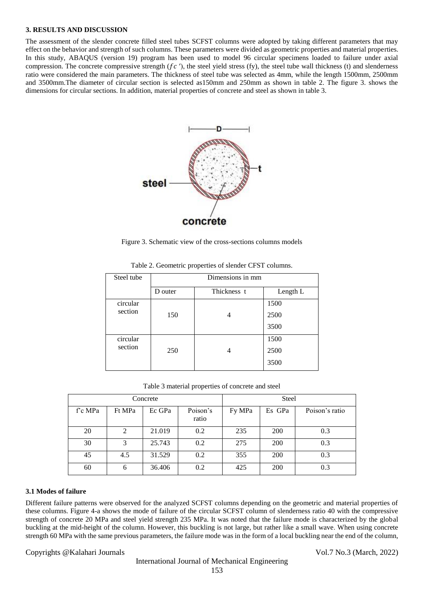#### **3. RESULTS AND DISCUSSION**

The assessment of the slender concrete filled steel tubes SCFST columns were adopted by taking different parameters that may effect on the behavior and strength of such columns. These parameters were divided as geometric properties and material properties. In this study, ABAQUS (version 19) program has been used to model 96 circular specimens loaded to failure under axial compression. The concrete compressive strength  $(fc')$ , the steel yield stress  $(fy)$ , the steel tube wall thickness  $(t)$  and slenderness ratio were considered the main parameters. The thickness of steel tube was selected as 4mm, while the length 1500mm, 2500mm and 3500mm.The diameter of circular section is selected as150mm and 250mm as shown in table 2. The figure 3. shows the dimensions for circular sections. In addition, material properties of concrete and steel as shown in table 3.



Figure 3. Schematic view of the cross-sections columns models

| Steel tube | Dimensions in mm |             |          |  |  |  |
|------------|------------------|-------------|----------|--|--|--|
|            | D outer          | Thickness t | Length L |  |  |  |
| circular   |                  |             | 1500     |  |  |  |
| section    | 150              | 4           | 2500     |  |  |  |
|            |                  |             | 3500     |  |  |  |
| circular   |                  |             | 1500     |  |  |  |
| section    | 250              | 4           | 2500     |  |  |  |
|            |                  |             | 3500     |  |  |  |

|  | Table 2. Geometric properties of slender CFST columns. |  |  |  |  |
|--|--------------------------------------------------------|--|--|--|--|
|--|--------------------------------------------------------|--|--|--|--|

| Table 3 material properties of concrete and steel |  |
|---------------------------------------------------|--|
|---------------------------------------------------|--|

|         |                             | Concrete | <b>Steel</b>      |        |        |                |
|---------|-----------------------------|----------|-------------------|--------|--------|----------------|
| f'c MPa | Ft MPa                      | Ec GPa   | Poison's<br>ratio | Fy MPa | Es GPa | Poison's ratio |
| 20      | $\mathcal{D}_{\mathcal{L}}$ | 21.019   | 0.2               | 235    | 200    | 0.3            |
| 30      | 3                           | 25.743   | 0.2               | 275    | 200    | 0.3            |
| 45      | 4.5                         | 31.529   | 0.2               | 355    | 200    | 0.3            |
| 60      | 6                           | 36.406   | 0.2               | 425    | 200    | 0.3            |

# **3.1 Modes of failure**

Different failure patterns were observed for the analyzed SCFST columns depending on the geometric and material properties of these columns. Figure 4-a shows the mode of failure of the circular SCFST column of slenderness ratio 40 with the compressive strength of concrete 20 MPa and steel yield strength 235 MPa. It was noted that the failure mode is characterized by the global buckling at the mid-height of the column. However, this buckling is not large, but rather like a small wave. When using concrete strength 60 MPa with the same previous parameters, the failure mode was in the form of a local buckling near the end of the column,

Copyrights @Kalahari Journals Vol.7 No.3 (March, 2022)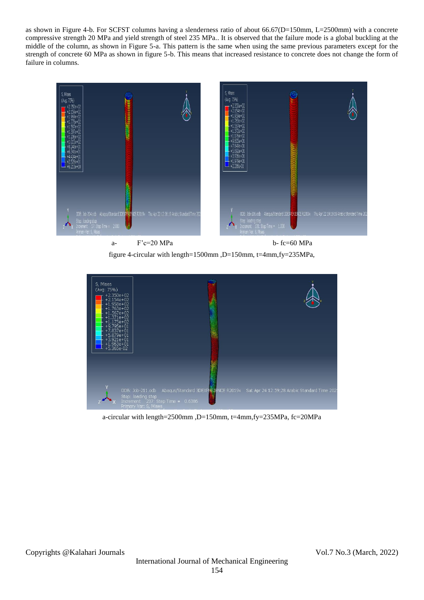as shown in Figure 4-b. For SCFST columns having a slenderness ratio of about 66.67(D=150mm, L=2500mm) with a concrete compressive strength 20 MPa and yield strength of steel 235 MPa.. It is observed that the failure mode is a global buckling at the middle of the column, as shown in Figure 5-a. This pattern is the same when using the same previous parameters except for the strength of concrete 60 MPa as shown in figure 5-b. This means that increased resistance to concrete does not change the form of failure in columns.



a- F'c=20 MPa b- fc=60 MPa

figure 4-circular with length=1500mm ,D=150mm, t=4mm,fy=235MPa,



a-circular with length=2500mm ,D=150mm, t=4mm,fy=235MPa, fc=20MPa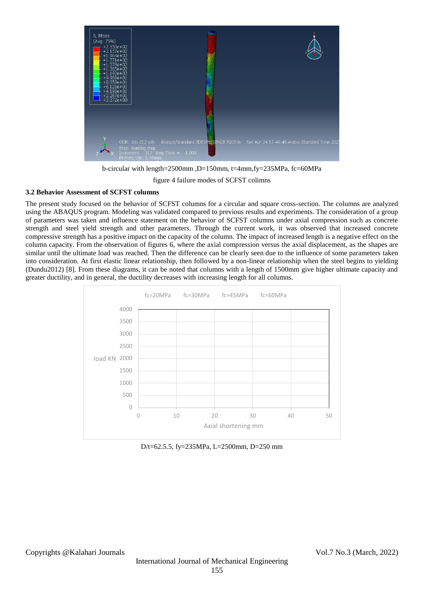

b-circular with length=2500mm ,D=150mm, t=4mm,fy=235MPa, fc=60MPa

figure 4 failure modes of SCFST colimns

# **3.2 Behavior Assessment of SCFST columns**

The present study focused on the behavior of SCFST columns for a circular and square cross-section. The columns are analyzed using the ABAQUS program. Modeling was validated compared to previous results and experiments. The consideration of a group of parameters was taken and influence statement on the behavior of SCFST columns under axial compression such as concrete strength and steel yield strength and other parameters. Through the current work, it was observed that increased concrete compressive strength has a positive impact on the capacity of the column. The impact of increased length is a negative effect on the column capacity. From the observation of figures 6, where the axial compression versus the axial displacement, as the shapes are similar until the ultimate load was reached. Then the difference can be clearly seen due to the influence of some parameters taken into consideration. At first elastic linear relationship, then followed by a non-linear relationship when the steel begins to yielding (Dundu2012) [8]. From these diagrams, it can be noted that columns with a length of 1500mm give higher ultimate capacity and greater ductility, and in general, the ductility decreases with increasing length for all columns.



D/t=62.5.5, fy=235MPa, L=2500mm, D=250 mm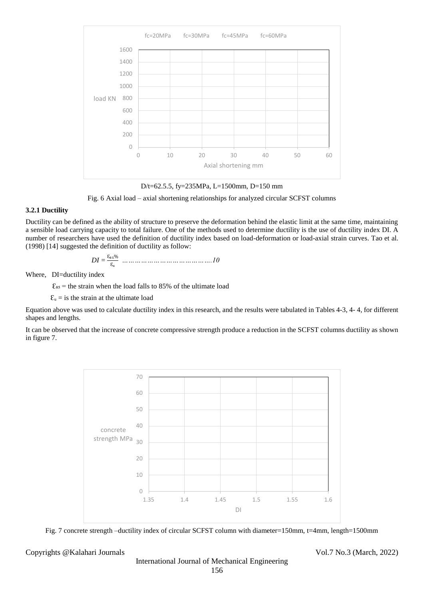

D/t=62.5.5, fy=235MPa, L=1500mm, D=150 mm

Fig. 6 Axial load – axial shortening relationships for analyzed circular SCFST columns

# **3.2.1 Ductility**

Ductility can be defined as the ability of structure to preserve the deformation behind the elastic limit at the same time, maintaining a sensible load carrying capacity to total failure. One of the methods used to determine ductility is the use of ductility index DI. A number of researchers have used the definition of ductility index based on load-deformation or load-axial strain curves. Tao et al. (1998) [14] suggested the definition of ductility as follow:

$$
DI = \frac{\varepsilon_{\text{ss}}\%}{\varepsilon_{\text{u}}}
$$
 ............................10

Where, DI=ductility index

 $\epsilon_{ss}$  = the strain when the load falls to 85% of the ultimate load

 $\mathcal{E}_{\mathfrak{u}} =$  is the strain at the ultimate load

Equation above was used to calculate ductility index in this research, and the results were tabulated in Tables 4-3, 4- 4, for different shapes and lengths.

It can be observed that the increase of concrete compressive strength produce a reduction in the SCFST columns ductility as shown in figure 7.



Fig. 7 concrete strength –ductility index of circular SCFST column with diameter=150mm, t=4mm, length=1500mm

Copyrights @Kalahari Journals Vol.7 No.3 (March, 2022)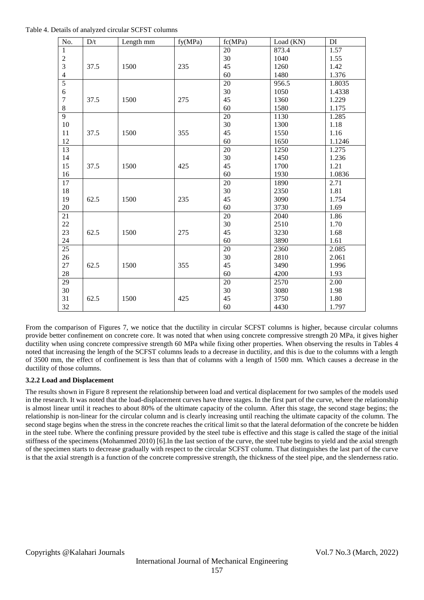| No.            | D/t  | Length mm | fy(MPa) | fc(MPa) | Load (KN) | DI     |
|----------------|------|-----------|---------|---------|-----------|--------|
| $\mathbf{1}$   |      |           |         | 20      | 873.4     | 1.57   |
| $\overline{c}$ |      |           |         | 30      | 1040      | 1.55   |
| 3              | 37.5 | 1500      | 235     | 45      | 1260      | 1.42   |
| $\overline{4}$ |      |           |         | 60      | 1480      | 1.376  |
| 5              |      |           |         | 20      | 956.5     | 1.8035 |
| 6              |      |           |         | 30      | 1050      | 1.4338 |
| $\tau$         | 37.5 | 1500      | 275     | 45      | 1360      | 1.229  |
| $\,$ 8 $\,$    |      |           |         | 60      | 1580      | 1.175  |
| $\overline{9}$ |      |           |         | 20      | 1130      | 1.285  |
| 10             |      |           |         | 30      | 1300      | 1.18   |
| 11             | 37.5 | 1500      | 355     | 45      | 1550      | 1.16   |
| 12             |      |           |         | 60      | 1650      | 1.1246 |
| 13             |      |           |         | 20      | 1250      | 1.275  |
| 14             |      |           |         | 30      | 1450      | 1.236  |
| 15             | 37.5 | 1500      | 425     | 45      | 1700      | 1.21   |
| 16             |      |           |         | 60      | 1930      | 1.0836 |
| 17             |      |           |         | 20      | 1890      | 2.71   |
| $18\,$         |      |           |         | 30      | 2350      | 1.81   |
| 19             | 62.5 | 1500      | 235     | 45      | 3090      | 1.754  |
| $20\,$         |      |           |         | 60      | 3730      | 1.69   |
| 21             |      |           |         | 20      | 2040      | 1.86   |
| 22             |      |           |         | 30      | 2510      | 1.70   |
| 23             | 62.5 | 1500      | 275     | 45      | 3230      | 1.68   |
| 24             |      |           |         | 60      | 3890      | 1.61   |
| 25             |      |           |         | 20      | 2360      | 2.085  |
| 26             |      |           |         | 30      | 2810      | 2.061  |
| 27             | 62.5 | 1500      | 355     | 45      | 3490      | 1.996  |
| 28             |      |           |         | 60      | 4200      | 1.93   |
| 29             |      |           |         | 20      | 2570      | 2.00   |
| $30\,$         |      |           |         | 30      | 3080      | 1.98   |
| 31             | 62.5 | 1500      | 425     | 45      | 3750      | 1.80   |
| 32             |      |           |         | 60      | 4430      | 1.797  |

From the comparison of Figures 7, we notice that the ductility in circular SCFST columns is higher, because circular columns provide better confinement on concrete core. It was noted that when using concrete compressive strength 20 MPa, it gives higher ductility when using concrete compressive strength 60 MPa while fixing other properties. When observing the results in Tables 4 noted that increasing the length of the SCFST columns leads to a decrease in ductility, and this is due to the columns with a length of 3500 mm, the effect of confinement is less than that of columns with a length of 1500 mm. Which causes a decrease in the ductility of those columns.

# **3.2.2 Load and Displacement**

The results shown in Figure 8 represent the relationship between load and vertical displacement for two samples of the models used in the research. It was noted that the load-displacement curves have three stages. In the first part of the curve, where the relationship is almost linear until it reaches to about 80% of the ultimate capacity of the column. After this stage, the second stage begins; the relationship is non-linear for the circular column and is clearly increasing until reaching the ultimate capacity of the column. The second stage begins when the stress in the concrete reaches the critical limit so that the lateral deformation of the concrete be hidden in the steel tube. Where the confining pressure provided by the steel tube is effective and this stage is called the stage of the initial stiffness of the specimens (Mohammed 2010) [6].In the last section of the curve, the steel tube begins to yield and the axial strength of the specimen starts to decrease gradually with respect to the circular SCFST column. That distinguishes the last part of the curve is that the axial strength is a function of the concrete compressive strength, the thickness of the steel pipe, and the slenderness ratio.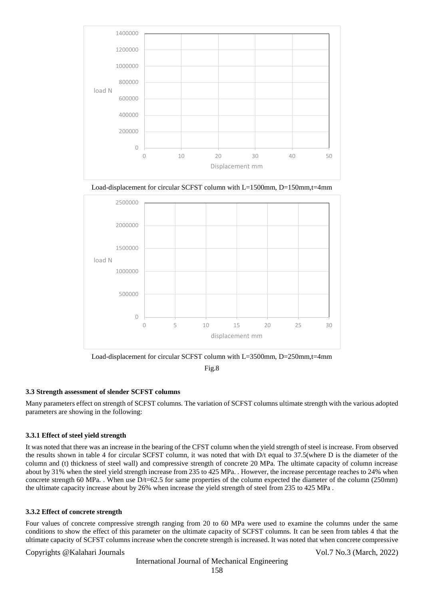

Load-displacement for circular SCFST column with L=1500mm, D=150mm, t=4mm



Load-displacement for circular SCFST column with L=3500mm, D=250mm,t=4mm

Fig.8

# **3.3 Strength assessment of slender SCFST columns**

Many parameters effect on strength of SCFST columns. The variation of SCFST columns ultimate strength with the various adopted parameters are showing in the following:

# **3.3.1 Effect of steel yield strength**

It was noted that there was an increase in the bearing of the CFST column when the yield strength of steel is increase. From observed the results shown in table 4 for circular SCFST column, it was noted that with D/t equal to 37.5(where D is the diameter of the column and (t) thickness of steel wall) and compressive strength of concrete 20 MPa. The ultimate capacity of column increase about by 31% when the steel yield strength increase from 235 to 425 MPa. . However, the increase percentage reaches to 24% when concrete strength 60 MPa. . When use D/t=62.5 for same properties of the column expected the diameter of the column (250mm) the ultimate capacity increase about by 26% when increase the yield strength of steel from 235 to 425 MPa .

# **3.3.2 Effect of concrete strength**

Four values of concrete compressive strength ranging from 20 to 60 MPa were used to examine the columns under the same conditions to show the effect of this parameter on the ultimate capacity of SCFST columns. It can be seen from tables 4 that the ultimate capacity of SCFST columns increase when the concrete strength is increased. It was noted that when concrete compressive

# Copyrights @Kalahari Journals Vol.7 No.3 (March, 2022)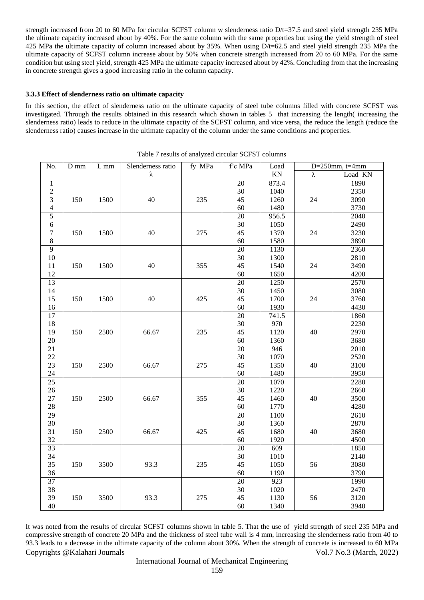strength increased from 20 to 60 MPa for circular SCFST column w slenderness ratio  $D/t=37.5$  and steel yield strength 235 MPa the ultimate capacity increased about by 40%. For the same column with the same properties but using the yield strength of steel 425 MPa the ultimate capacity of column increased about by 35%. When using D/t=62.5 and steel yield strength 235 MPa the ultimate capacity of SCFST column increase about by 50% when concrete strength increased from 20 to 60 MPa. For the same condition but using steel yield, strength 425 MPa the ultimate capacity increased about by 42%. Concluding from that the increasing in concrete strength gives a good increasing ratio in the column capacity.

# **3.3.3 Effect of slenderness ratio on ultimate capacity**

In this section, the effect of slenderness ratio on the ultimate capacity of steel tube columns filled with concrete SCFST was investigated. Through the results obtained in this research which shown in tables 5 that increasing the length( increasing the slenderness ratio) leads to reduce in the ultimate capacity of the SCFST column, and vice versa, the reduce the length (reduce the slenderness ratio) causes increase in the ultimate capacity of the column under the same conditions and properties.

| No.              | $D$ mm | $L_{mm}$ | Slenderness ratio | fy MPa | f'c MPa         | Load                       | $D=250$ mm, t=4mm |         |
|------------------|--------|----------|-------------------|--------|-----------------|----------------------------|-------------------|---------|
|                  |        |          | λ                 |        |                 | $\mathop{\rm KN}\nolimits$ | λ                 | Load KN |
| $\,1$            |        |          |                   |        | 20              | 873.4                      |                   | 1890    |
| $\overline{c}$   |        |          |                   |        | 30              | 1040                       |                   | 2350    |
| 3                | 150    | 1500     | 40                | 235    | 45              | 1260                       | 24                | 3090    |
| $\overline{4}$   |        |          |                   |        | 60              | 1480                       |                   | 3730    |
| 5                |        |          |                   |        | 20              | 956.5                      |                   | 2040    |
| $\sqrt{6}$       |        |          |                   |        | 30              | 1050                       |                   | 2490    |
| $\boldsymbol{7}$ | 150    | 1500     | 40                | 275    | 45              | 1370                       | 24                | 3230    |
| $\,$ 8 $\,$      |        |          |                   |        | 60              | 1580                       |                   | 3890    |
| $\overline{9}$   |        |          |                   |        | $\overline{20}$ | 1130                       |                   | 2360    |
| $10\,$           |        |          |                   |        | 30              | 1300                       |                   | 2810    |
| 11               | 150    | 1500     | 40                | 355    | 45              | 1540                       | 24                | 3490    |
| 12               |        |          |                   |        | 60              | 1650                       |                   | 4200    |
| 13               |        |          |                   |        | 20              | 1250                       |                   | 2570    |
| 14               |        |          |                   |        | 30              | 1450                       |                   | 3080    |
| 15               | 150    | 1500     | 40                | 425    | 45              | 1700                       | 24                | 3760    |
| 16               |        |          |                   |        | 60              | 1930                       |                   | 4430    |
| $17\,$           |        |          |                   |        | 20              | 741.5                      |                   | 1860    |
| 18               |        |          |                   |        | $30\,$          | 970                        |                   | 2230    |
| 19               | 150    | 2500     | 66.67             | 235    | 45              | 1120                       | 40                | 2970    |
| $20\,$           |        |          |                   |        | 60              | 1360                       |                   | 3680    |
| 21               |        |          |                   |        | 20              | 946                        |                   | 2010    |
| $22\,$           |        |          |                   |        | 30              | 1070                       |                   | 2520    |
| 23               | 150    | 2500     | 66.67             | 275    | 45              | 1350                       | 40                | 3100    |
| $24\,$           |        |          |                   |        | 60              | 1480                       |                   | 3950    |
| $25\,$           |        |          |                   |        | 20              | 1070                       |                   | 2280    |
| $26\,$           |        |          |                   |        | 30              | 1220                       |                   | 2660    |
| 27               | 150    | 2500     | 66.67             | 355    | 45              | 1460                       | 40                | 3500    |
| $28\,$           |        |          |                   |        | 60              | 1770                       |                   | 4280    |
| 29               |        |          |                   |        | $\overline{20}$ | 1100                       |                   | 2610    |
| $30\,$           |        |          |                   |        | 30              | 1360                       |                   | 2870    |
| 31               | 150    | 2500     | 66.67             | 425    | 45              | 1680                       | 40                | 3680    |
| 32               |        |          |                   |        | 60              | 1920                       |                   | 4500    |
| 33               |        |          |                   |        | 20              | 609                        |                   | 1850    |
| 34               |        |          |                   |        | 30              | 1010                       |                   | 2140    |
| 35               | 150    | 3500     | 93.3              | 235    | 45              | 1050                       | 56                | 3080    |
| 36               |        |          |                   |        | 60              | 1190                       |                   | 3790    |
| 37               |        |          |                   |        | 20              | 923                        |                   | 1990    |
| 38               |        |          |                   |        | 30              | 1020                       |                   | 2470    |
| 39               | 150    | 3500     | 93.3              | 275    | 45              | 1130                       | 56                | 3120    |
| 40               |        |          |                   |        | 60              | 1340                       |                   | 3940    |

Table 7 results of analyzed circular SCFST columns

Copyrights @Kalahari Journals Vol.7 No.3 (March, 2022) It was noted from the results of circular SCFST columns shown in table 5. That the use of yield strength of steel 235 MPa and compressive strength of concrete 20 MPa and the thickness of steel tube wall is 4 mm, increasing the slenderness ratio from 40 to 93.3 leads to a decrease in the ultimate capacity of the column about 30%. When the strength of concrete is increased to 60 MPa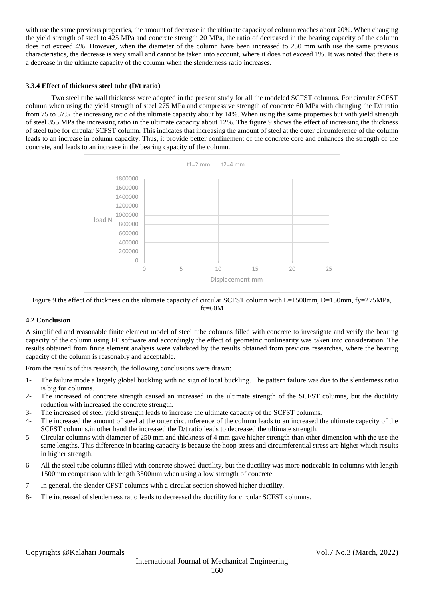with use the same previous properties, the amount of decrease in the ultimate capacity of column reaches about 20%. When changing the yield strength of steel to 425 MPa and concrete strength 20 MPa, the ratio of decreased in the bearing capacity of the column does not exceed 4%. However, when the diameter of the column have been increased to 250 mm with use the same previous characteristics, the decrease is very small and cannot be taken into account, where it does not exceed 1%. It was noted that there is a decrease in the ultimate capacity of the column when the slenderness ratio increases.

# **3.3.4 Effect of thickness steel tube (D/t ratio**)

Two steel tube wall thickness were adopted in the present study for all the modeled SCFST columns. For circular SCFST column when using the yield strength of steel 275 MPa and compressive strength of concrete 60 MPa with changing the D/t ratio from 75 to 37.5 the increasing ratio of the ultimate capacity about by 14%. When using the same properties but with yield strength of steel 355 MPa the increasing ratio in the ultimate capacity about 12%. The figure 9 shows the effect of increasing the thickness of steel tube for circular SCFST column. This indicates that increasing the amount of steel at the outer circumference of the column leads to an increase in column capacity. Thus, it provide better confinement of the concrete core and enhances the strength of the concrete, and leads to an increase in the bearing capacity of the column.



Figure 9 the effect of thickness on the ultimate capacity of circular SCFST column with L=1500mm, D=150mm, fy=275MPa, fc=60M

# **4.2 Conclusion**

A simplified and reasonable finite element model of steel tube columns filled with concrete to investigate and verify the bearing capacity of the column using FE software and accordingly the effect of geometric nonlinearity was taken into consideration. The results obtained from finite element analysis were validated by the results obtained from previous researches, where the bearing capacity of the column is reasonably and acceptable.

From the results of this research, the following conclusions were drawn:

- 1- The failure mode a largely global buckling with no sign of local buckling. The pattern failure was due to the slenderness ratio is big for columns.
- 2- The increased of concrete strength caused an increased in the ultimate strength of the SCFST columns, but the ductility reduction with increased the concrete strength.
- 3- The increased of steel yield strength leads to increase the ultimate capacity of the SCFST columns.
- 4- The increased the amount of steel at the outer circumference of the column leads to an increased the ultimate capacity of the SCFST columns.in other hand the increased the D/t ratio leads to decreased the ultimate strength.
- 5- Circular columns with diameter of 250 mm and thickness of 4 mm gave higher strength than other dimension with the use the same lengths. This difference in bearing capacity is because the hoop stress and circumferential stress are higher which results in higher strength.
- 6- All the steel tube columns filled with concrete showed ductility, but the ductility was more noticeable in columns with length 1500mm comparison with length 3500mm when using a low strength of concrete.
- 7- In general, the slender CFST columns with a circular section showed higher ductility.
- 8- The increased of slenderness ratio leads to decreased the ductility for circular SCFST columns.